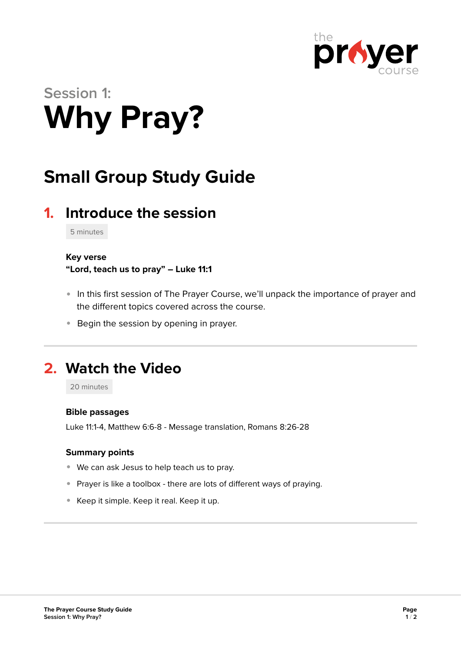

# **Session 1: Why Pray?**

# **Small Group Study Guide**

# **1. Introduce the session**

5 minutes

### **Key verse**

**"Lord, teach us to pray" – Luke 11:1** 

- In this first session of The Prayer Course, we'll unpack the importance of prayer and the different topics covered across the course.
- **Begin the session by opening in prayer.**

## **2. Watch the Video**

20 minutes

### **Bible passages**

Luke 11:1-4, Matthew 6:6-8 - Message translation, Romans 8:26-28

### **Summary points**

- We can ask Jesus to help teach us to pray.
- Prayer is like a toolbox there are lots of different ways of praying.
- Keep it simple. Keep it real. Keep it up.